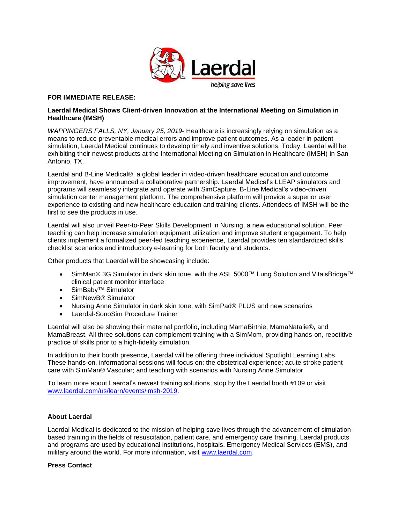

## **FOR IMMEDIATE RELEASE:**

## **Laerdal Medical Shows Client-driven Innovation at the International Meeting on Simulation in Healthcare (IMSH)**

*WAPPINGERS FALLS, NY, January 25, 2019*- Healthcare is increasingly relying on simulation as a means to reduce preventable medical errors and improve patient outcomes. As a leader in patient simulation, Laerdal Medical continues to develop timely and inventive solutions. Today, Laerdal will be exhibiting their newest products at the International Meeting on Simulation in Healthcare (IMSH) in San Antonio, TX.

Laerdal and B-Line Medical®, a global leader in video-driven healthcare education and outcome improvement, have announced a collaborative partnership. Laerdal Medical's LLEAP simulators and programs will seamlessly integrate and operate with SimCapture, B-Line Medical's video-driven simulation center management platform. The comprehensive platform will provide a superior user experience to existing and new healthcare education and training clients. Attendees of IMSH will be the first to see the products in use.

Laerdal will also unveil Peer-to-Peer Skills Development in Nursing, a new educational solution. Peer teaching can help increase simulation equipment utilization and improve student engagement. To help clients implement a formalized peer-led teaching experience, Laerdal provides ten standardized skills checklist scenarios and introductory e-learning for both faculty and students.

Other products that Laerdal will be showcasing include:

- SimMan® 3G Simulator in dark skin tone, with the ASL 5000™ Lung Solution and VitalsBridge™ clinical patient monitor interface
- SimBaby™ Simulator
- SimNewB® Simulator
- Nursing Anne Simulator in dark skin tone, with SimPad® PLUS and new scenarios
- Laerdal-SonoSim Procedure Trainer

Laerdal will also be showing their maternal portfolio, including MamaBirthie, MamaNatalie®, and MamaBreast. All three solutions can complement training with a SimMom, providing hands-on, repetitive practice of skills prior to a high-fidelity simulation.

In addition to their booth presence, Laerdal will be offering three individual Spotlight Learning Labs. These hands-on, informational sessions will focus on: the obstetrical experience; acute stroke patient care with SimMan® Vascular; and teaching with scenarios with Nursing Anne Simulator.

To learn more about Laerdal's newest training solutions, stop by the Laerdal booth #109 or visit [www.laerdal.com/us/learn/events/imsh-2019.](http://www.laerdal.com/us/learn/events/imsh-2019/?utm_source=PR%20Newswire&utm_medium=Press%20Release&utm_campaign=19-17202%20-%20IMSH%202019%20Press%20Release&utm_content=IMSH%202019)

## **About Laerdal**

Laerdal Medical is dedicated to the mission of helping save lives through the advancement of simulationbased training in the fields of resuscitation, patient care, and emergency care training. Laerdal products and programs are used by educational institutions, hospitals, Emergency Medical Services (EMS), and military around the world. For more information, visit [www.laerdal.com.](http://www.laerdal.com/?utm_source=PR%20Newswire&utm_medium=Press%20Release&utm_campaign=19-17202%20-%20IMSH%202019%20Press%20Release&utm_content=Laerdal%20Homepage)

## **Press Contact**